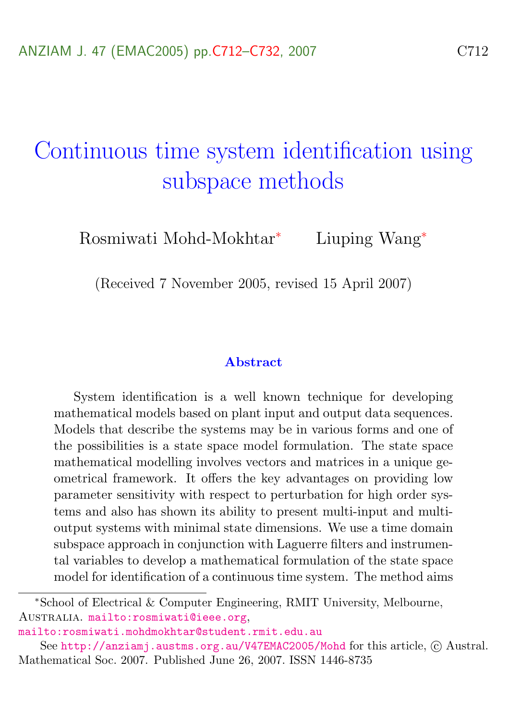# Continuous time system identification using subspace methods

Rosmiwati Mohd-Mokhtar<sup>∗</sup> Liuping Wang<sup>∗</sup>

(Received 7 November 2005, revised 15 April 2007)

#### Abstract

System identification is a well known technique for developing mathematical models based on plant input and output data sequences. Models that describe the systems may be in various forms and one of the possibilities is a state space model formulation. The state space mathematical modelling involves vectors and matrices in a unique geometrical framework. It offers the key advantages on providing low parameter sensitivity with respect to perturbation for high order systems and also has shown its ability to present multi-input and multioutput systems with minimal state dimensions. We use a time domain subspace approach in conjunction with Laguerre filters and instrumental variables to develop a mathematical formulation of the state space model for identification of a continuous time system. The method aims

<sup>∗</sup>School of Electrical & Computer Engineering, RMIT University, Melbourne, Australia. <mailto:rosmiwati@ieee.org>,

<mailto:rosmiwati.mohdmokhtar@student.rmit.edu.au>

See <http://anziamj.austms.org.au/V47EMAC2005/Mohd> for this article,  $\odot$  Austral. Mathematical Soc. 2007. Published June 26, 2007. ISSN 1446-8735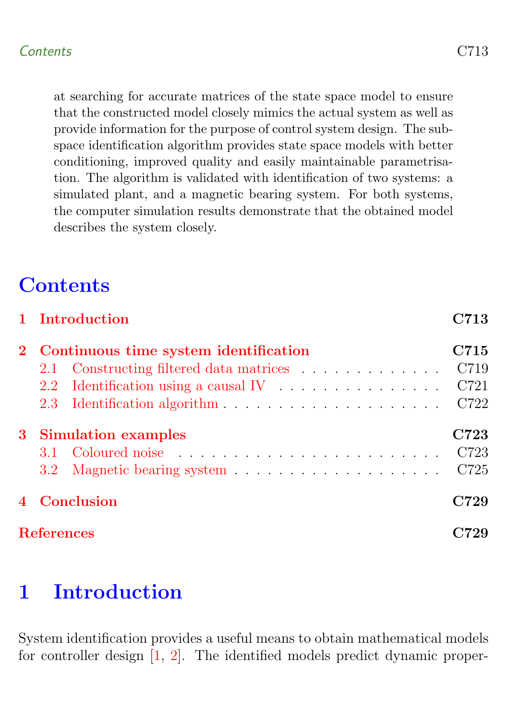<span id="page-1-1"></span>at searching for accurate matrices of the state space model to ensure that the constructed model closely mimics the actual system as well as provide information for the purpose of control system design. The subspace identification algorithm provides state space models with better conditioning, improved quality and easily maintainable parametrisation. The algorithm is validated with identification of two systems: a simulated plant, and a magnetic bearing system. For both systems, the computer simulation results demonstrate that the obtained model describes the system closely.

# **Contents**

| 1 Introduction                          | C713 |
|-----------------------------------------|------|
| 2 Continuous time system identification | C715 |
| 2.1 Constructing filtered data matrices | C719 |
| $2.2\,$                                 | C721 |
|                                         | C722 |
| 3 Simulation examples                   | C723 |
| 3.1                                     | C723 |
| 3.2 <sub>1</sub>                        | C725 |
| Conclusion                              | C729 |
| <b>References</b>                       |      |

# <span id="page-1-0"></span>1 Introduction

System identification provides a useful means to obtain mathematical models for controller design [\[1,](#page-17-2) [2\]](#page-17-3). The identified models predict dynamic proper-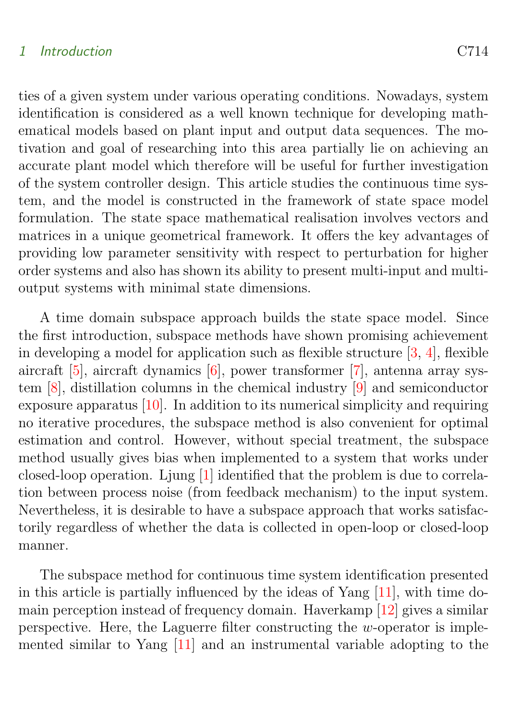#### <span id="page-2-0"></span>1 Introduction C714

ties of a given system under various operating conditions. Nowadays, system identification is considered as a well known technique for developing mathematical models based on plant input and output data sequences. The motivation and goal of researching into this area partially lie on achieving an accurate plant model which therefore will be useful for further investigation of the system controller design. This article studies the continuous time system, and the model is constructed in the framework of state space model formulation. The state space mathematical realisation involves vectors and matrices in a unique geometrical framework. It offers the key advantages of providing low parameter sensitivity with respect to perturbation for higher order systems and also has shown its ability to present multi-input and multioutput systems with minimal state dimensions.

A time domain subspace approach builds the state space model. Since the first introduction, subspace methods have shown promising achievement in developing a model for application such as flexible structure  $[3, 4]$  $[3, 4]$ , flexible aircraft [\[5\]](#page-19-1), aircraft dynamics [\[6\]](#page-19-2), power transformer [\[7\]](#page-19-3), antenna array system [\[8\]](#page-19-4), distillation columns in the chemical industry [\[9\]](#page-19-5) and semiconductor exposure apparatus [\[10\]](#page-19-6). In addition to its numerical simplicity and requiring no iterative procedures, the subspace method is also convenient for optimal estimation and control. However, without special treatment, the subspace method usually gives bias when implemented to a system that works under closed-loop operation. Ljung [\[1\]](#page-17-2) identified that the problem is due to correlation between process noise (from feedback mechanism) to the input system. Nevertheless, it is desirable to have a subspace approach that works satisfactorily regardless of whether the data is collected in open-loop or closed-loop manner.

The subspace method for continuous time system identification presented in this article is partially influenced by the ideas of Yang  $[11]$ , with time domain perception instead of frequency domain. Haverkamp [\[12\]](#page-20-0) gives a similar perspective. Here, the Laguerre filter constructing the w-operator is implemented similar to Yang [\[11\]](#page-19-7) and an instrumental variable adopting to the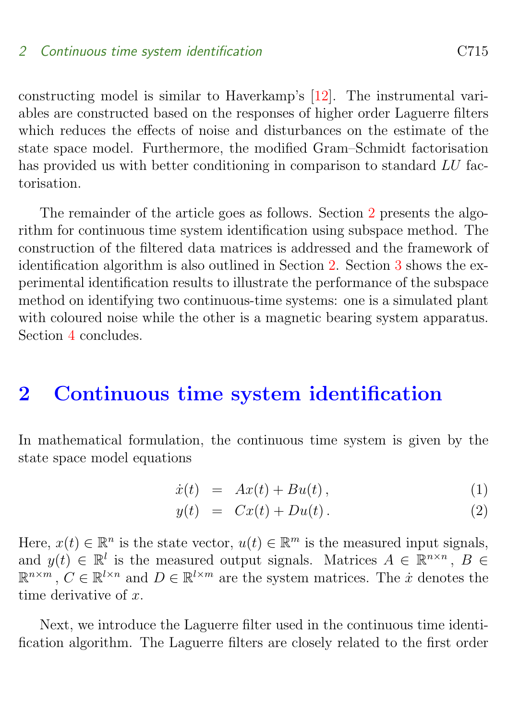<span id="page-3-2"></span>constructing model is similar to Haverkamp's [\[12\]](#page-20-0). The instrumental variables are constructed based on the responses of higher order Laguerre filters which reduces the effects of noise and disturbances on the estimate of the state space model. Furthermore, the modified Gram–Schmidt factorisation has provided us with better conditioning in comparison to standard LU factorisation.

The remainder of the article goes as follows. Section [2](#page-3-0) presents the algorithm for continuous time system identification using subspace method. The construction of the filtered data matrices is addressed and the framework of identification algorithm is also outlined in Section [2.](#page-3-0) Section [3](#page-11-0) shows the experimental identification results to illustrate the performance of the subspace method on identifying two continuous-time systems: one is a simulated plant with coloured noise while the other is a magnetic bearing system apparatus. Section [4](#page-17-1) concludes.

# <span id="page-3-0"></span>2 Continuous time system identification

In mathematical formulation, the continuous time system is given by the state space model equations

<span id="page-3-1"></span>
$$
\dot{x}(t) = Ax(t) + Bu(t), \qquad (1)
$$

$$
y(t) = Cx(t) + Du(t). \tag{2}
$$

Here,  $x(t) \in \mathbb{R}^n$  is the state vector,  $u(t) \in \mathbb{R}^m$  is the measured input signals, and  $y(t) \in \mathbb{R}^l$  is the measured output signals. Matrices  $A \in \mathbb{R}^{n \times n}$ ,  $B \in$  $\mathbb{R}^{n \times m}$ ,  $C \in \mathbb{R}^{l \times n}$  and  $D \in \mathbb{R}^{l \times m}$  are the system matrices. The *i* denotes the time derivative of  $r$ .

Next, we introduce the Laguerre filter used in the continuous time identification algorithm. The Laguerre filters are closely related to the first order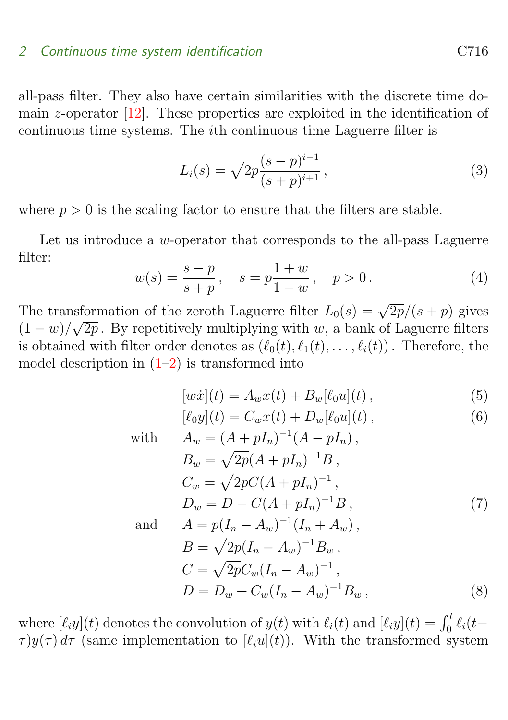## <span id="page-4-0"></span>2 Continuous time system identification contraction C716

all-pass filter. They also have certain similarities with the discrete time domain z-operator  $[12]$ . These properties are exploited in the identification of continuous time systems. The ith continuous time Laguerre filter is

$$
L_i(s) = \sqrt{2p} \frac{(s-p)^{i-1}}{(s+p)^{i+1}},
$$
\n(3)

where  $p > 0$  is the scaling factor to ensure that the filters are stable.

Let us introduce a  $w$ -operator that corresponds to the all-pass Laguerre filter:

$$
w(s) = \frac{s-p}{s+p}, \quad s = p\frac{1+w}{1-w}, \quad p > 0.
$$
 (4)

The transformation of the zeroth Laguerre filter  $L_0(s) = \sqrt{2p}/(s+p)$  gives  $(1-w)/\sqrt{2p}$ . By repetitively multiplying with w, a bank of Laguerre filters is obtained with filter order denotes as  $(\ell_0(t), \ell_1(t), \ldots, \ell_i(t))$ . Therefore, the model description in  $(1-2)$  is transformed into

$$
[w\dot{x}](t) = A_w x(t) + B_w[\ell_0 u](t) , \qquad (5)
$$

$$
[\ell_0 y](t) = C_w x(t) + D_w[\ell_0 u](t) , \qquad (6)
$$

with 
$$
A_w = (A + pI_n)^{-1}(A - pI_n),
$$
  
\n
$$
B_w = \sqrt{2p}(A + pI_n)^{-1}B,
$$
  
\n
$$
C_w = \sqrt{2p}C(A + pI_n)^{-1},
$$
  
\n
$$
D_w = D - C(A + pI_n)^{-1}B,
$$
  
\nand 
$$
A = p(I_n - A_w)^{-1}(I_n + A_w),
$$
  
\n
$$
B = \sqrt{2p}(I_n - A_w)^{-1}B_w,
$$
  
\n
$$
C = \sqrt{2p}C_w(I_n - A_w)^{-1},
$$
  
\n
$$
D = D_w + C_w(I_n - A_w)^{-1}B_w,
$$
\n(8)

where  $[\ell_i y](t)$  denotes the convolution of  $y(t)$  with  $\ell_i(t)$  and  $[\ell_i y](t) = \int_0^t \ell_i(t-t)$  $\tau$ )y( $\tau$ ) d $\tau$  (same implementation to [ $\ell_i u(t)$ ). With the transformed system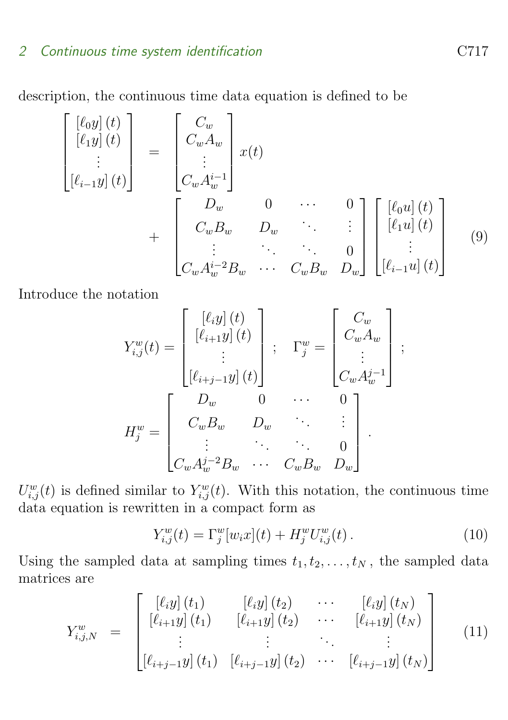description, the continuous time data equation is defined to be

$$
\begin{bmatrix}\n[\ell_0 y](t) \\
[\ell_1 y](t) \\
\vdots \\
[\ell_{i-1} y](t)\n\end{bmatrix} = \begin{bmatrix}\nC_w \\
C_w A_w \\
\vdots \\
C_w A_w^{i-1}\n\end{bmatrix} x(t) + \begin{bmatrix}\nD_w & 0 & \cdots & 0 \\
C_w B_w & D_w & \ddots & \vdots \\
\vdots & \ddots & \ddots & 0 \\
C_w A_w^{i-2} B_w & \cdots & C_w B_w & D_w\n\end{bmatrix} \begin{bmatrix}\n[\ell_0 u](t) \\
[\ell_1 u](t) \\
\vdots \\
[\ell_{i-1} u](t)\n\end{bmatrix}
$$
\n(9)

Introduce the notation

$$
Y_{i,j}^{w}(t) = \begin{bmatrix} [\ell_i y](t) \\ [\ell_{i+1} y](t) \\ \vdots \\ [\ell_{i+j-1} y](t) \end{bmatrix}; \quad \Gamma_j^{w} = \begin{bmatrix} C_w \\ C_w A_w \\ \vdots \\ C_w A_w^{j-1} \end{bmatrix};
$$

$$
H_j^{w} = \begin{bmatrix} D_w & 0 & \cdots & 0 \\ C_w B_w & D_w & \vdots \\ \vdots & \ddots & \vdots \\ C_w A_w^{j-2} B_w & \cdots & C_w B_w & D_w \end{bmatrix}.
$$

 $U_{i,j}^w(t)$  is defined similar to  $Y_{i,j}^w(t)$ . With this notation, the continuous time data equation is rewritten in a compact form as

$$
Y_{i,j}^w(t) = \Gamma_j^w[w_i x](t) + H_j^w U_{i,j}^w(t).
$$
 (10)

Using the sampled data at sampling times  $t_1, t_2, \ldots, t_N$ , the sampled data matrices are

<span id="page-5-0"></span>
$$
Y_{i,j,N}^w = \begin{bmatrix} [\ell_i y] (t_1) & [\ell_i y] (t_2) & \cdots & [\ell_i y] (t_N) \\ [\ell_{i+1} y] (t_1) & [\ell_{i+1} y] (t_2) & \cdots & [\ell_{i+1} y] (t_N) \\ \vdots & \vdots & \ddots & \vdots \\ [\ell_{i+j-1} y] (t_1) & [\ell_{i+j-1} y] (t_2) & \cdots & [\ell_{i+j-1} y] (t_N) \end{bmatrix}
$$
(11)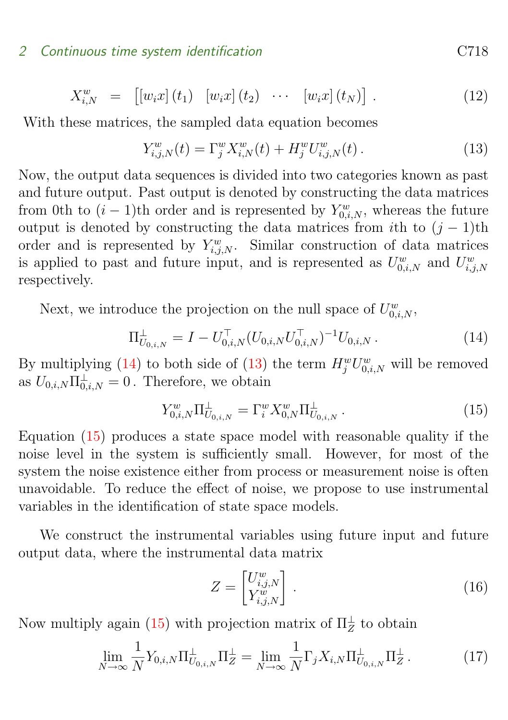$$
X_{i,N}^w = [[w_i x](t_1) [w_i x](t_2) \cdots [w_i x](t_N)]. \qquad (12)
$$

With these matrices, the sampled data equation becomes

<span id="page-6-1"></span>
$$
Y_{i,j,N}^w(t) = \Gamma_j^w X_{i,N}^w(t) + H_j^w U_{i,j,N}^w(t).
$$
 (13)

Now, the output data sequences is divided into two categories known as past and future output. Past output is denoted by constructing the data matrices from 0th to  $(i-1)$ th order and is represented by  $Y_{0,i,N}^w$ , whereas the future output is denoted by constructing the data matrices from *i*th to  $(j - 1)$ th order and is represented by  $Y_{i,j,N}^w$ . Similar construction of data matrices is applied to past and future input, and is represented as  $U_{0,i,N}^w$  and  $U_{i,j,N}^w$ respectively.

Next, we introduce the projection on the null space of  $U_{0,i,N}^w$ ,

<span id="page-6-0"></span>
$$
\Pi_{U_{0,i,N}}^{\perp} = I - U_{0,i,N}^{\top} (U_{0,i,N} U_{0,i,N}^{\top})^{-1} U_{0,i,N} . \tag{14}
$$

By multiplying [\(14\)](#page-6-0) to both side of [\(13\)](#page-6-1) the term  $H_j^wU_{0,i,N}^w$  will be removed as  $U_{0,i,N}\Pi_{0,i,N}^{\perp}=0$ . Therefore, we obtain

<span id="page-6-2"></span>
$$
Y_{0,i,N}^w \Pi_{U_{0,i,N}}^{\perp} = \Gamma_i^w X_{0,N}^w \Pi_{U_{0,i,N}}^{\perp} . \tag{15}
$$

Equation [\(15\)](#page-6-2) produces a state space model with reasonable quality if the noise level in the system is sufficiently small. However, for most of the system the noise existence either from process or measurement noise is often unavoidable. To reduce the effect of noise, we propose to use instrumental variables in the identification of state space models.

We construct the instrumental variables using future input and future output data, where the instrumental data matrix

$$
Z = \begin{bmatrix} U_{i,j,N}^w \\ Y_{i,j,N}^w \end{bmatrix} . \tag{16}
$$

Now multiply again [\(15\)](#page-6-2) with projection matrix of  $\Pi_Z^{\perp}$  to obtain

<span id="page-6-3"></span>
$$
\lim_{N \to \infty} \frac{1}{N} Y_{0,i,N} \Pi_{U_{0,i,N}}^{\perp} \Pi_Z^{\perp} = \lim_{N \to \infty} \frac{1}{N} \Gamma_j X_{i,N} \Pi_{U_{0,i,N}}^{\perp} \Pi_Z^{\perp} . \tag{17}
$$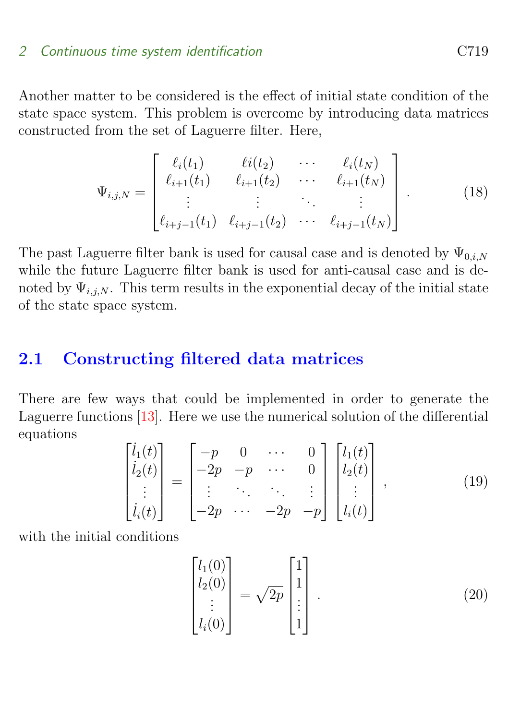<span id="page-7-2"></span>Another matter to be considered is the effect of initial state condition of the state space system. This problem is overcome by introducing data matrices constructed from the set of Laguerre filter. Here,

<span id="page-7-1"></span>
$$
\Psi_{i,j,N} = \begin{bmatrix} \ell_i(t_1) & \ell_i(t_2) & \cdots & \ell_i(t_N) \\ \ell_{i+1}(t_1) & \ell_{i+1}(t_2) & \cdots & \ell_{i+1}(t_N) \\ \vdots & \vdots & \ddots & \vdots \\ \ell_{i+j-1}(t_1) & \ell_{i+j-1}(t_2) & \cdots & \ell_{i+j-1}(t_N) \end{bmatrix}
$$
(18)

The past Laguerre filter bank is used for causal case and is denoted by  $\Psi_{0,i,N}$ while the future Laguerre filter bank is used for anti-causal case and is denoted by  $\Psi_{i,j,N}$ . This term results in the exponential decay of the initial state of the state space system.

# <span id="page-7-0"></span>2.1 Constructing filtered data matrices

There are few ways that could be implemented in order to generate the Laguerre functions [\[13\]](#page-20-1). Here we use the numerical solution of the differential equations

$$
\begin{bmatrix} i_1(t) \\ i_2(t) \\ \vdots \\ i_i(t) \end{bmatrix} = \begin{bmatrix} -p & 0 & \cdots & 0 \\ -2p & -p & \cdots & 0 \\ \vdots & \ddots & \ddots & \vdots \\ -2p & \cdots & -2p & -p \end{bmatrix} \begin{bmatrix} l_1(t) \\ l_2(t) \\ \vdots \\ l_i(t) \end{bmatrix},
$$
(19)

with the initial conditions

$$
\begin{bmatrix} l_1(0) \\ l_2(0) \\ \vdots \\ l_i(0) \end{bmatrix} = \sqrt{2p} \begin{bmatrix} 1 \\ 1 \\ \vdots \\ 1 \end{bmatrix} . \tag{20}
$$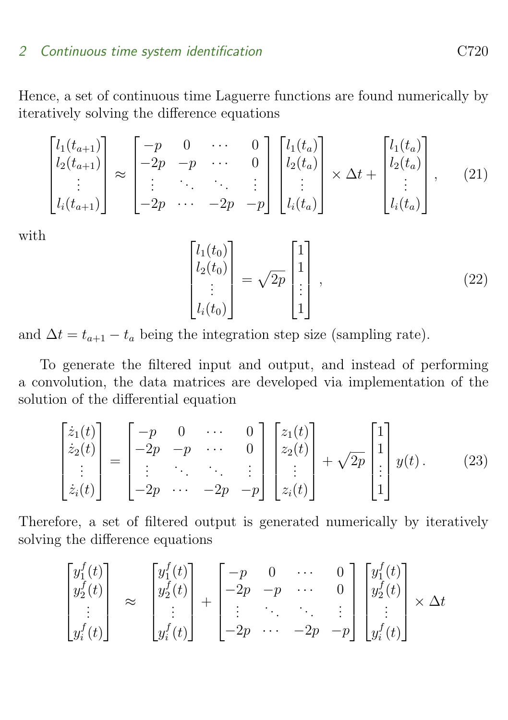Hence, a set of continuous time Laguerre functions are found numerically by iteratively solving the difference equations

<span id="page-8-1"></span>
$$
\begin{bmatrix} l_1(t_{a+1}) \\ l_2(t_{a+1}) \\ \vdots \\ l_i(t_{a+1}) \end{bmatrix} \approx \begin{bmatrix} -p & 0 & \cdots & 0 \\ -2p & -p & \cdots & 0 \\ \vdots & \ddots & \ddots & \vdots \\ -2p & \cdots & -2p & -p \end{bmatrix} \begin{bmatrix} l_1(t_a) \\ l_2(t_a) \\ \vdots \\ l_i(t_a) \end{bmatrix} \times \Delta t + \begin{bmatrix} l_1(t_a) \\ l_2(t_a) \\ \vdots \\ l_i(t_a) \end{bmatrix}, \quad (21)
$$

with

$$
\begin{bmatrix} l_1(t_0) \\ l_2(t_0) \\ \vdots \\ l_i(t_0) \end{bmatrix} = \sqrt{2p} \begin{bmatrix} 1 \\ 1 \\ \vdots \\ 1 \end{bmatrix}, \qquad (22)
$$

and  $\Delta t = t_{a+1} - t_a$  being the integration step size (sampling rate).

To generate the filtered input and output, and instead of performing a convolution, the data matrices are developed via implementation of the solution of the differential equation

$$
\begin{bmatrix} \dot{z}_1(t) \\ \dot{z}_2(t) \\ \vdots \\ \dot{z}_i(t) \end{bmatrix} = \begin{bmatrix} -p & 0 & \cdots & 0 \\ -2p & -p & \cdots & 0 \\ \vdots & \ddots & \ddots & \vdots \\ -2p & \cdots & -2p & -p \end{bmatrix} \begin{bmatrix} z_1(t) \\ z_2(t) \\ \vdots \\ z_i(t) \end{bmatrix} + \sqrt{2p} \begin{bmatrix} 1 \\ 1 \\ \vdots \\ 1 \end{bmatrix} y(t). \tag{23}
$$

Therefore, a set of filtered output is generated numerically by iteratively solving the difference equations

<span id="page-8-0"></span>
$$
\begin{bmatrix} y_1^f(t) \\ y_2^f(t) \\ \vdots \\ y_i^f(t) \end{bmatrix} \approx \begin{bmatrix} y_1^f(t) \\ y_2^f(t) \\ \vdots \\ y_i^f(t) \end{bmatrix} + \begin{bmatrix} -p & 0 & \cdots & 0 \\ -2p & -p & \cdots & 0 \\ \vdots & \ddots & \ddots & \vdots \\ -2p & \cdots & -2p & -p \end{bmatrix} \begin{bmatrix} y_1^f(t) \\ y_2^f(t) \\ \vdots \\ y_i^f(t) \end{bmatrix} \times \Delta t
$$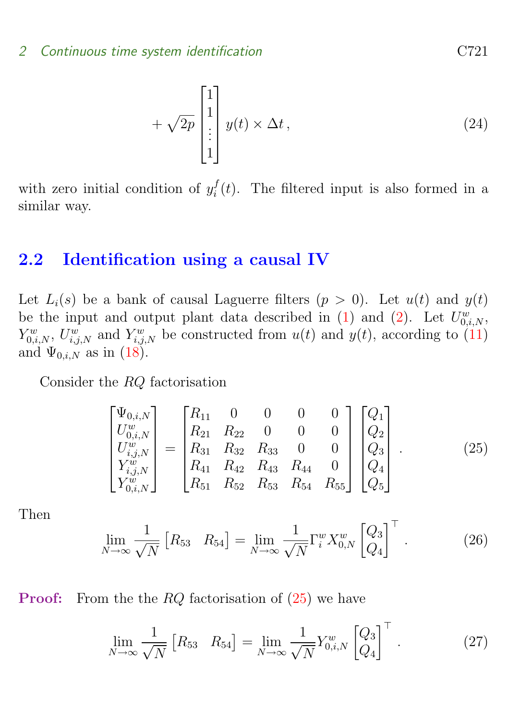$$
+\sqrt{2p}\begin{bmatrix}1\\1\\ \vdots\\1\end{bmatrix}y(t)\times\Delta t,\tag{24}
$$

with zero initial condition of  $y_i^f$  $i<sub>i</sub>(t)$ . The filtered input is also formed in a similar way.

# <span id="page-9-0"></span>2.2 Identification using a causal IV

Let  $L_i(s)$  be a bank of causal Laguerre filters  $(p > 0)$ . Let  $u(t)$  and  $y(t)$ be the input and output plant data described in [\(1\)](#page-3-1) and [\(2\)](#page-3-1). Let  $U_{0,i,N}^w$ ,  $Y^w_{0,i,N}$ ,  $U^w_{i,j,N}$  and  $Y^w_{i,j,N}$  be constructed from  $u(t)$  and  $y(t)$ , according to [\(11\)](#page-5-0) and  $\Psi_{0,i,N}$  as in  $(18)$ .

Consider the RQ factorisation

<span id="page-9-1"></span>
$$
\begin{bmatrix}\n\Psi_{0,i,N} \\
U_{0,i,N}^w \\
U_{i,j,N}^w \\
Y_{i,j,N}^w \\
Y_{0,i,N}^w\n\end{bmatrix} = \begin{bmatrix}\nR_{11} & 0 & 0 & 0 & 0 \\
R_{21} & R_{22} & 0 & 0 & 0 \\
R_{31} & R_{32} & R_{33} & 0 & 0 \\
R_{41} & R_{42} & R_{43} & R_{44} & 0 \\
R_{51} & R_{52} & R_{53} & R_{54} & R_{55}\n\end{bmatrix} \begin{bmatrix}\nQ_1 \\
Q_2 \\
Q_3 \\
Q_4 \\
Q_5\n\end{bmatrix} .
$$
\n(25)

Then

$$
\lim_{N \to \infty} \frac{1}{\sqrt{N}} \begin{bmatrix} R_{53} & R_{54} \end{bmatrix} = \lim_{N \to \infty} \frac{1}{\sqrt{N}} \Gamma_i^w X_{0,N}^w \begin{bmatrix} Q_3 \\ Q_4 \end{bmatrix}^\top.
$$
 (26)

**Proof:** From the the  $RQ$  factorisation of  $(25)$  we have

$$
\lim_{N \to \infty} \frac{1}{\sqrt{N}} \left[ R_{53} \quad R_{54} \right] = \lim_{N \to \infty} \frac{1}{\sqrt{N}} Y_{0,i,N}^w \left[ \begin{matrix} Q_3 \\ Q_4 \end{matrix} \right]^\top . \tag{27}
$$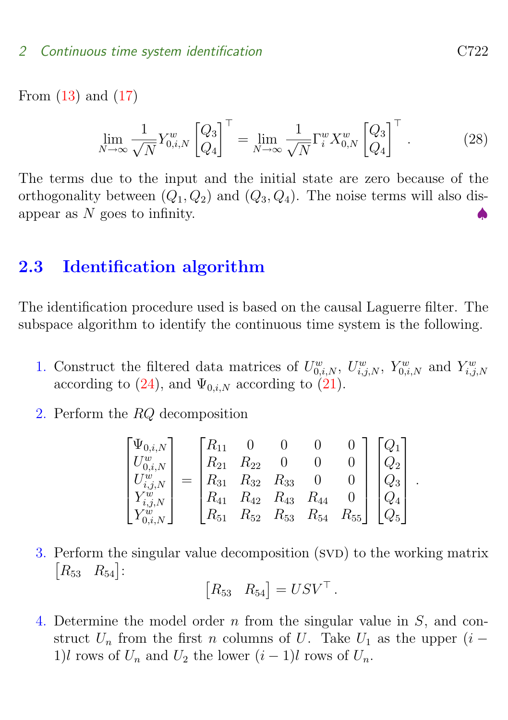From [\(13\)](#page-6-1) and [\(17\)](#page-6-3)

$$
\lim_{N \to \infty} \frac{1}{\sqrt{N}} Y_{0,i,N}^w \begin{bmatrix} Q_3 \\ Q_4 \end{bmatrix}^\top = \lim_{N \to \infty} \frac{1}{\sqrt{N}} \Gamma_i^w X_{0,N}^w \begin{bmatrix} Q_3 \\ Q_4 \end{bmatrix}^\top.
$$
 (28)

The terms due to the input and the initial state are zero because of the orthogonality between  $(Q_1, Q_2)$  and  $(Q_3, Q_4)$ . The noise terms will also disappear as  $N$  goes to infinity.

# <span id="page-10-0"></span>2.3 Identification algorithm

The identification procedure used is based on the causal Laguerre filter. The subspace algorithm to identify the continuous time system is the following.

- 1. Construct the filtered data matrices of  $U_{0,i,N}^w$ ,  $U_{i,j,N}^w$ ,  $Y_{0,i,N}^w$  and  $Y_{i,j,N}^w$ according to [\(24\)](#page-8-0), and  $\Psi_{0,i,N}$  according to [\(21\)](#page-8-1).
- 2. Perform the RQ decomposition

$$
\begin{bmatrix} \Psi_{0,i,N} \\ U_{0,i,N}^w \\ U_{i,j,N}^w \\ Y_{i,j,N}^w \\ Y_{0,i,N}^w \end{bmatrix} = \begin{bmatrix} R_{11} & 0 & 0 & 0 & 0 \\ R_{21} & R_{22} & 0 & 0 & 0 \\ R_{31} & R_{32} & R_{33} & 0 & 0 \\ R_{41} & R_{42} & R_{43} & R_{44} & 0 \\ R_{51} & R_{52} & R_{53} & R_{54} & R_{55} \end{bmatrix} \begin{bmatrix} Q_1 \\ Q_2 \\ Q_3 \\ Q_4 \\ Q_5 \end{bmatrix}
$$

3. Perform the singular value decomposition (SVD) to the working matrix  $\begin{bmatrix} R_{53} & R_{54} \end{bmatrix}$ :

$$
\begin{bmatrix} R_{53} & R_{54} \end{bmatrix} = USV^{\top}.
$$

4. Determine the model order n from the singular value in S, and construct  $U_n$  from the first n columns of U. Take  $U_1$  as the upper  $(i -$ 1)l rows of  $U_n$  and  $U_2$  the lower  $(i-1)$ l rows of  $U_n$ .

.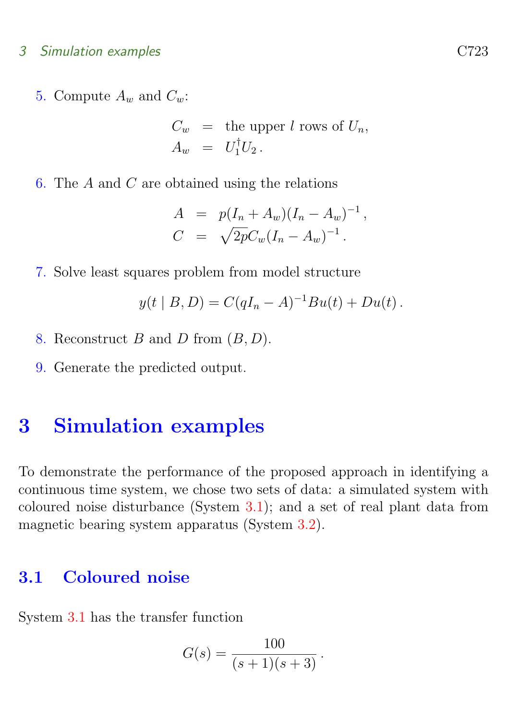#### 3 Simulation examples C723

5. Compute  $A_w$  and  $C_w$ :

$$
C_w = \text{the upper } l \text{ rows of } U_n,
$$
  

$$
A_w = U_1^{\dagger} U_2.
$$

6. The A and C are obtained using the relations

$$
A = p(I_n + A_w)(I_n - A_w)^{-1},
$$
  
\n
$$
C = \sqrt{2p}C_w(I_n - A_w)^{-1}.
$$

7. Solve least squares problem from model structure

$$
y(t | B, D) = C(qI_n - A)^{-1}Bu(t) + Du(t).
$$

- 8. Reconstruct  $B$  and  $D$  from  $(B, D)$ .
- 9. Generate the predicted output.

# <span id="page-11-0"></span>3 Simulation examples

To demonstrate the performance of the proposed approach in identifying a continuous time system, we chose two sets of data: a simulated system with coloured noise disturbance (System [3.1\)](#page-11-1); and a set of real plant data from magnetic bearing system apparatus (System [3.2\)](#page-13-0).

# <span id="page-11-1"></span>3.1 Coloured noise

System [3.1](#page-11-1) has the transfer function

$$
G(s) = \frac{100}{(s+1)(s+3)}.
$$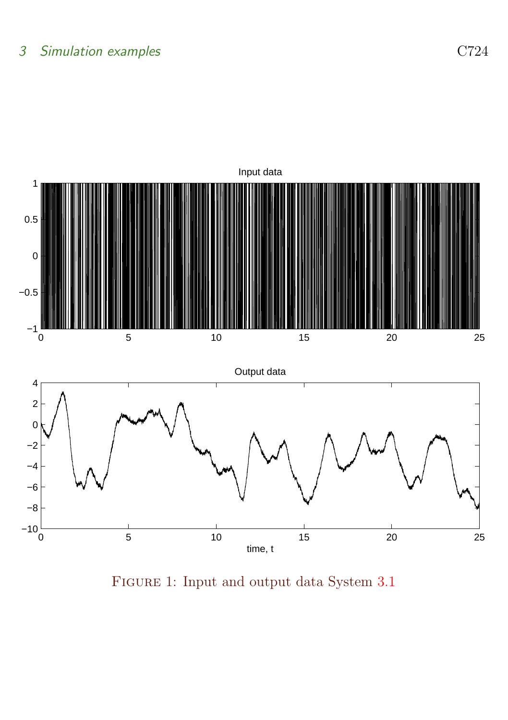# 3 Simulation examples C724



<span id="page-12-0"></span>Figure 1: Input and output data System [3.1](#page-11-1)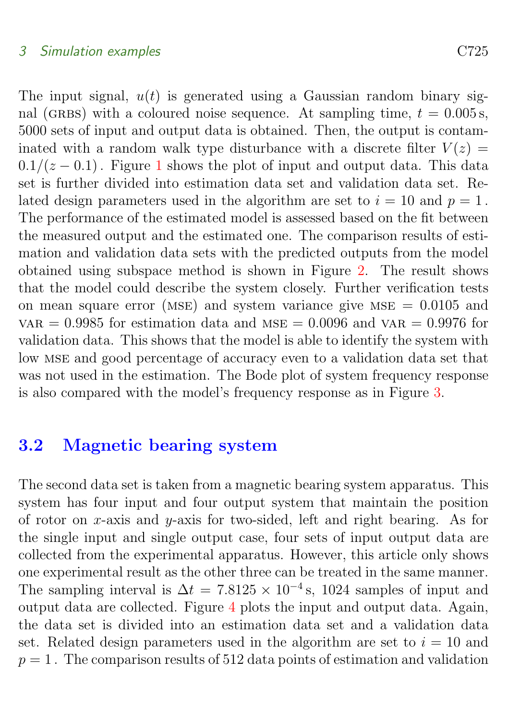### 3 Simulation examples C725

The input signal,  $u(t)$  is generated using a Gaussian random binary signal (GRBS) with a coloured noise sequence. At sampling time,  $t = 0.005$  s, 5000 sets of input and output data is obtained. Then, the output is contaminated with a random walk type disturbance with a discrete filter  $V(z) =$  $0.1/(z - 0.1)$  $0.1/(z - 0.1)$  $0.1/(z - 0.1)$ . Figure 1 shows the plot of input and output data. This data set is further divided into estimation data set and validation data set. Related design parameters used in the algorithm are set to  $i = 10$  and  $p = 1$ . The performance of the estimated model is assessed based on the fit between the measured output and the estimated one. The comparison results of estimation and validation data sets with the predicted outputs from the model obtained using subspace method is shown in Figure [2.](#page-14-0) The result shows that the model could describe the system closely. Further verification tests on mean square error (MSE) and system variance give MSE  $= 0.0105$  and var = 0.9985 for estimation data and MSE = 0.0096 and var = 0.9976 for validation data. This shows that the model is able to identify the system with low mse and good percentage of accuracy even to a validation data set that was not used in the estimation. The Bode plot of system frequency response is also compared with the model's frequency response as in Figure [3.](#page-15-0)

# <span id="page-13-0"></span>3.2 Magnetic bearing system

The second data set is taken from a magnetic bearing system apparatus. This system has four input and four output system that maintain the position of rotor on x-axis and y-axis for two-sided, left and right bearing. As for the single input and single output case, four sets of input output data are collected from the experimental apparatus. However, this article only shows one experimental result as the other three can be treated in the same manner. The sampling interval is  $\Delta t = 7.8125 \times 10^{-4}$  s, 1024 samples of input and output data are collected. Figure [4](#page-16-0) plots the input and output data. Again, the data set is divided into an estimation data set and a validation data set. Related design parameters used in the algorithm are set to  $i = 10$  and  $p = 1$ . The comparison results of 512 data points of estimation and validation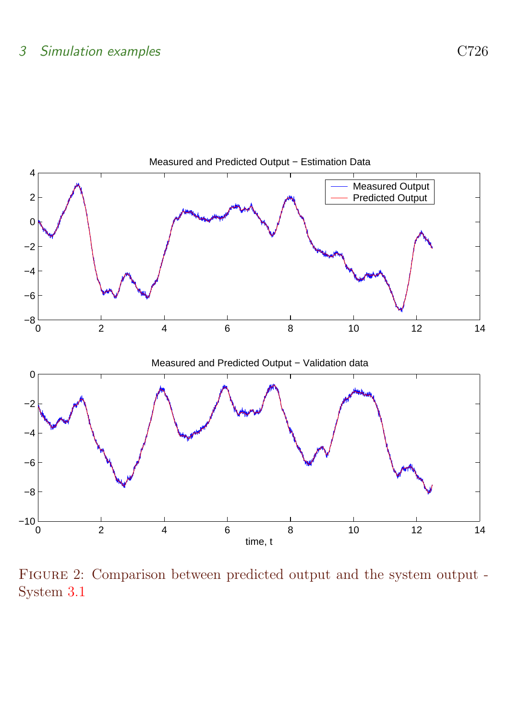

<span id="page-14-0"></span>Figure 2: Comparison between predicted output and the system output - System [3.1](#page-11-1)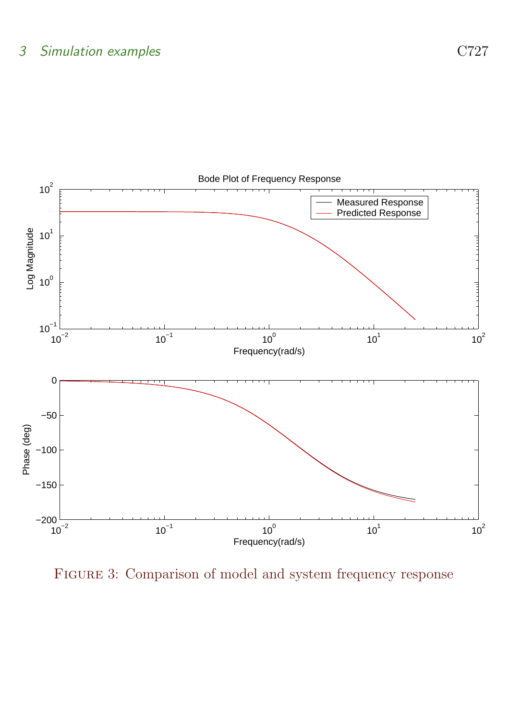

<span id="page-15-0"></span>FIGURE 3: Comparison of model and system frequency response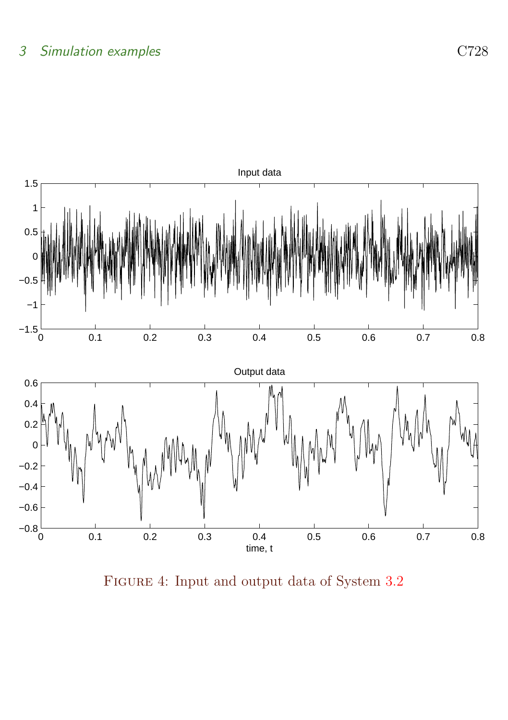

<span id="page-16-0"></span>Figure 4: Input and output data of System [3.2](#page-13-0)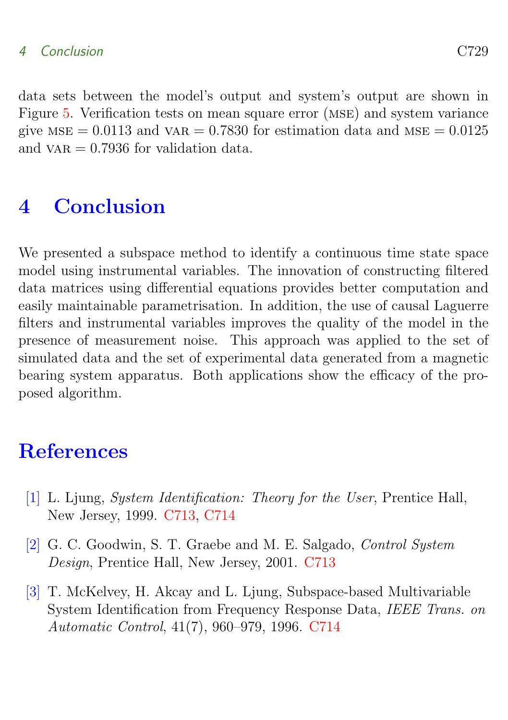## 4 Conclusion C729

data sets between the model's output and system's output are shown in Figure [5.](#page-18-0) Verification tests on mean square error (mse) and system variance give  $MSE = 0.0113$  and  $VAR = 0.7830$  for estimation data and  $MSE = 0.0125$ and  $\varphi$  variance 0.7936 for validation data.

# <span id="page-17-1"></span>4 Conclusion

We presented a subspace method to identify a continuous time state space model using instrumental variables. The innovation of constructing filtered data matrices using differential equations provides better computation and easily maintainable parametrisation. In addition, the use of causal Laguerre filters and instrumental variables improves the quality of the model in the presence of measurement noise. This approach was applied to the set of simulated data and the set of experimental data generated from a magnetic bearing system apparatus. Both applications show the efficacy of the proposed algorithm.

# References

- <span id="page-17-2"></span><span id="page-17-0"></span>[1] L. Ljung, System Identification: Theory for the User, Prentice Hall, New Jersey, 1999. [C713,](#page-1-1) [C714](#page-2-0)
- <span id="page-17-3"></span>[2] G. C. Goodwin, S. T. Graebe and M. E. Salgado, Control System Design, Prentice Hall, New Jersey, 2001. [C713](#page-1-1)
- <span id="page-17-4"></span>[3] T. McKelvey, H. Akcay and L. Ljung, Subspace-based Multivariable System Identification from Frequency Response Data, IEEE Trans. on Automatic Control, 41(7), 960–979, 1996. [C714](#page-2-0)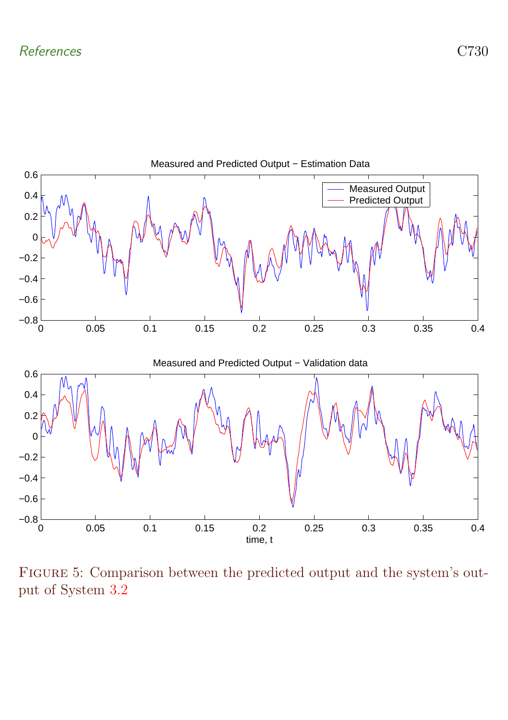

<span id="page-18-0"></span>Figure 5: Comparison between the predicted output and the system's output of System [3.2](#page-13-0)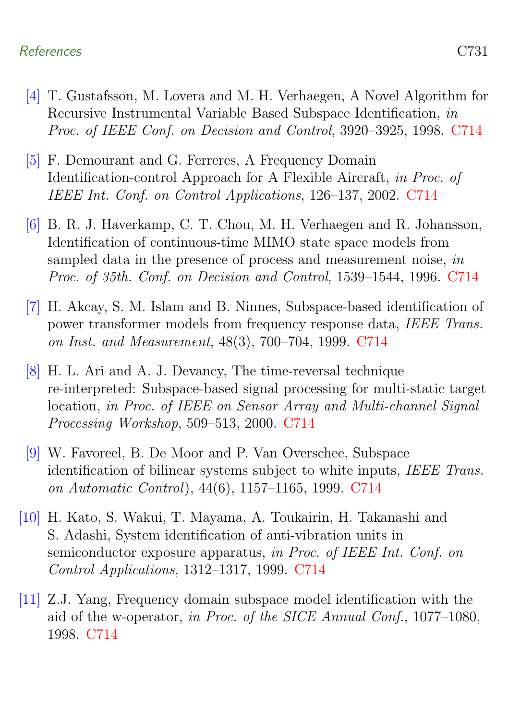## References C731

- <span id="page-19-0"></span>[4] T. Gustafsson, M. Lovera and M. H. Verhaegen, A Novel Algorithm for Recursive Instrumental Variable Based Subspace Identification, in Proc. of IEEE Conf. on Decision and Control, 3920–3925, 1998. [C714](#page-2-0)
- <span id="page-19-1"></span>[5] F. Demourant and G. Ferreres, A Frequency Domain Identification-control Approach for A Flexible Aircraft, in Proc. of IEEE Int. Conf. on Control Applications, 126–137, 2002. [C714](#page-2-0)
- <span id="page-19-2"></span>[6] B. R. J. Haverkamp, C. T. Chou, M. H. Verhaegen and R. Johansson, Identification of continuous-time MIMO state space models from sampled data in the presence of process and measurement noise, in Proc. of 35th. Conf. on Decision and Control, 1539–1544, 1996. [C714](#page-2-0)
- <span id="page-19-3"></span>[7] H. Akcay, S. M. Islam and B. Ninnes, Subspace-based identification of power transformer models from frequency response data, IEEE Trans. on Inst. and Measurement, 48(3), 700–704, 1999. [C714](#page-2-0)
- <span id="page-19-4"></span>[8] H. L. Ari and A. J. Devancy, The time-reversal technique re-interpreted: Subspace-based signal processing for multi-static target location, in Proc. of IEEE on Sensor Array and Multi-channel Signal Processing Workshop, 509–513, 2000. [C714](#page-2-0)
- <span id="page-19-5"></span>[9] W. Favoreel, B. De Moor and P. Van Overschee, Subspace identification of bilinear systems subject to white inputs, IEEE Trans. on Automatic Control), 44(6), 1157–1165, 1999. [C714](#page-2-0)
- <span id="page-19-6"></span>[10] H. Kato, S. Wakui, T. Mayama, A. Toukairin, H. Takanashi and S. Adashi, System identification of anti-vibration units in semiconductor exposure apparatus, in Proc. of IEEE Int. Conf. on Control Applications, 1312–1317, 1999. [C714](#page-2-0)
- <span id="page-19-7"></span>[11] Z.J. Yang, Frequency domain subspace model identification with the aid of the w-operator, in Proc. of the SICE Annual Conf., 1077–1080, 1998. [C714](#page-2-0)